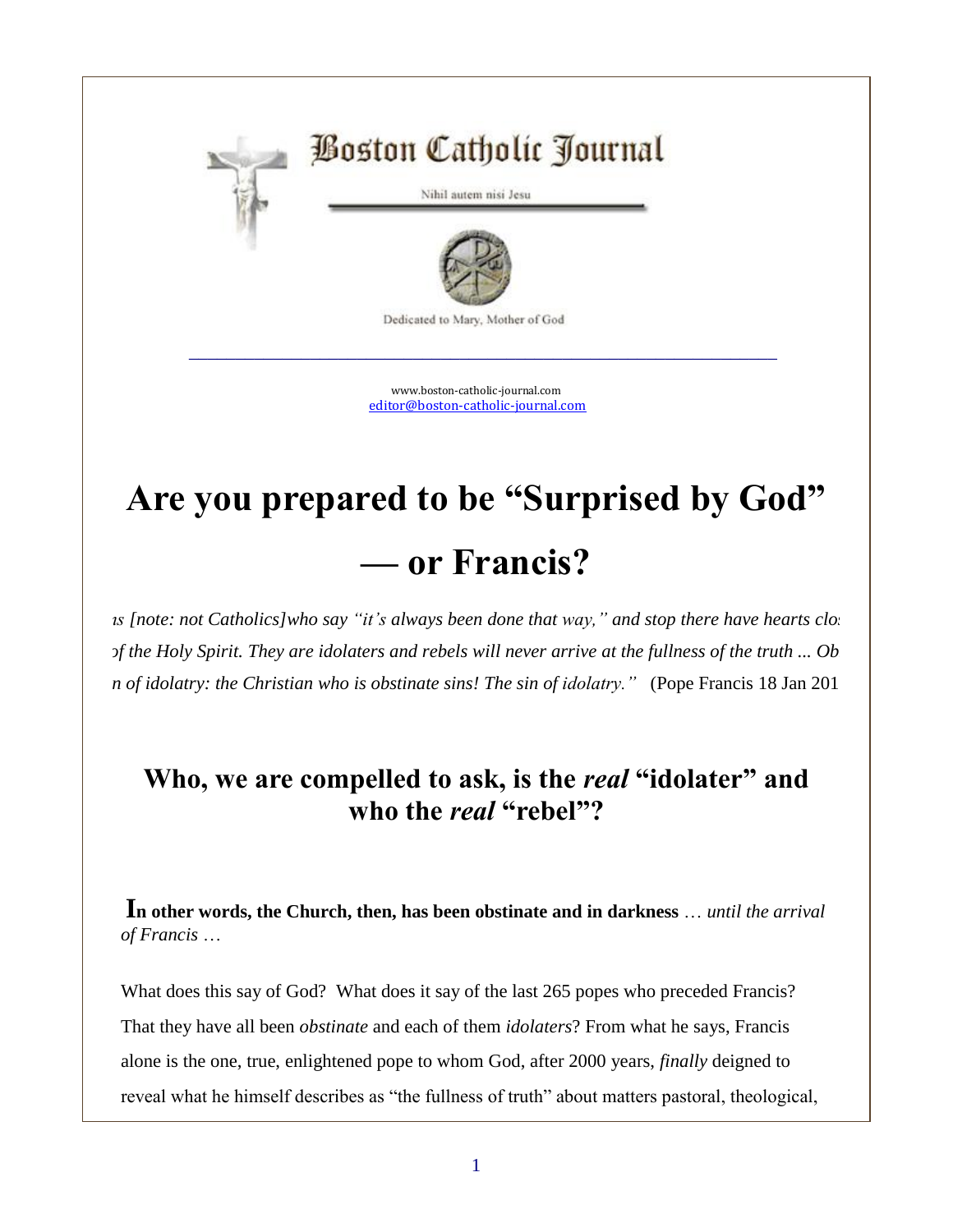

[www.boston-catholic-journal.com](http://www.boston-catholic-journal.com/) [editor@boston-catholic-journal.com](mailto:editor@boston-catholic-journal.com)

## **Are you prepared to be "Surprised by God" — or Francis?**

is *[note: not Catholics]who say "it's always been done that way," and stop there have hearts clo.* of the Holy Spirit. They are idolaters and rebels will never arrive at the fullness of the truth ... Ob *also the sin of idolatry: the Christian who is obstinate sins! The sin of idolatry."* (Pope Francis 18 Jan 2016)

## **Who, we are compelled to ask, is the** *real* **"idolater" and who the** *real* **"rebel"?**

**In other words, the Church, then, has been obstinate and in darkness** … *until the arrival of Francis* …

What does this say of God? What does it say of the last 265 popes who preceded Francis? That they have all been *obstinate* and each of them *idolaters*? From what he says, Francis alone is the one, true, enlightened pope to whom God, after 2000 years, *finally* deigned to reveal what he himself describes as "the fullness of truth" about matters pastoral, theological,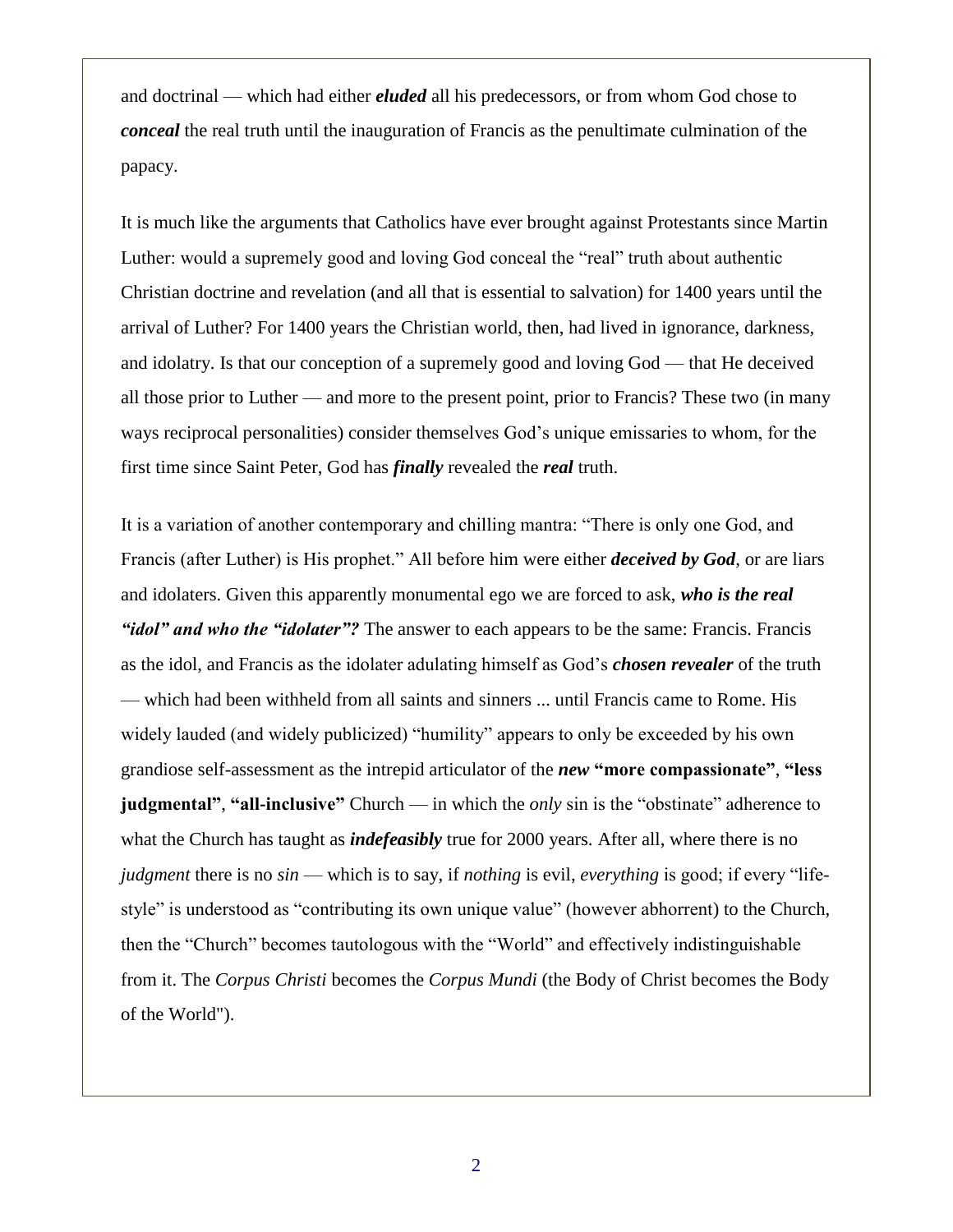and doctrinal — which had either *eluded* all his predecessors, or from whom God chose to *conceal* the real truth until the inauguration of Francis as the penultimate culmination of the papacy.

It is much like the arguments that Catholics have ever brought against Protestants since Martin Luther: would a supremely good and loving God conceal the "real" truth about authentic Christian doctrine and revelation (and all that is essential to salvation) for 1400 years until the arrival of Luther? For 1400 years the Christian world, then, had lived in ignorance, darkness, and idolatry. Is that our conception of a supremely good and loving God — that He deceived all those prior to Luther — and more to the present point, prior to Francis? These two (in many ways reciprocal personalities) consider themselves God's unique emissaries to whom, for the first time since Saint Peter, God has *finally* revealed the *real* truth.

It is a variation of another contemporary and chilling mantra: "There is only one God, and Francis (after Luther) is His prophet." All before him were either *deceived by God*, or are liars and idolaters. Given this apparently monumental ego we are forced to ask, *who is the real "idol" and who the "idolater"?* The answer to each appears to be the same: Francis. Francis as the idol, and Francis as the idolater adulating himself as God's *chosen revealer* of the truth — which had been withheld from all saints and sinners ... until Francis came to Rome. His widely lauded (and widely publicized) "humility" appears to only be exceeded by his own grandiose self-assessment as the intrepid articulator of the *new* **"more compassionate"**, **"less judgmental"**, **"all-inclusive"** Church — in which the *only* sin is the "obstinate" adherence to what the Church has taught as *indefeasibly* true for 2000 years. After all, where there is no *judgment* there is no *sin* — which is to say, if *nothing* is evil, *everything* is good; if every "lifestyle" is understood as "contributing its own unique value" (however abhorrent) to the Church, then the "Church" becomes tautologous with the "World" and effectively indistinguishable from it. The *Corpus Christi* becomes the *Corpus Mundi* (the Body of Christ becomes the Body of the World").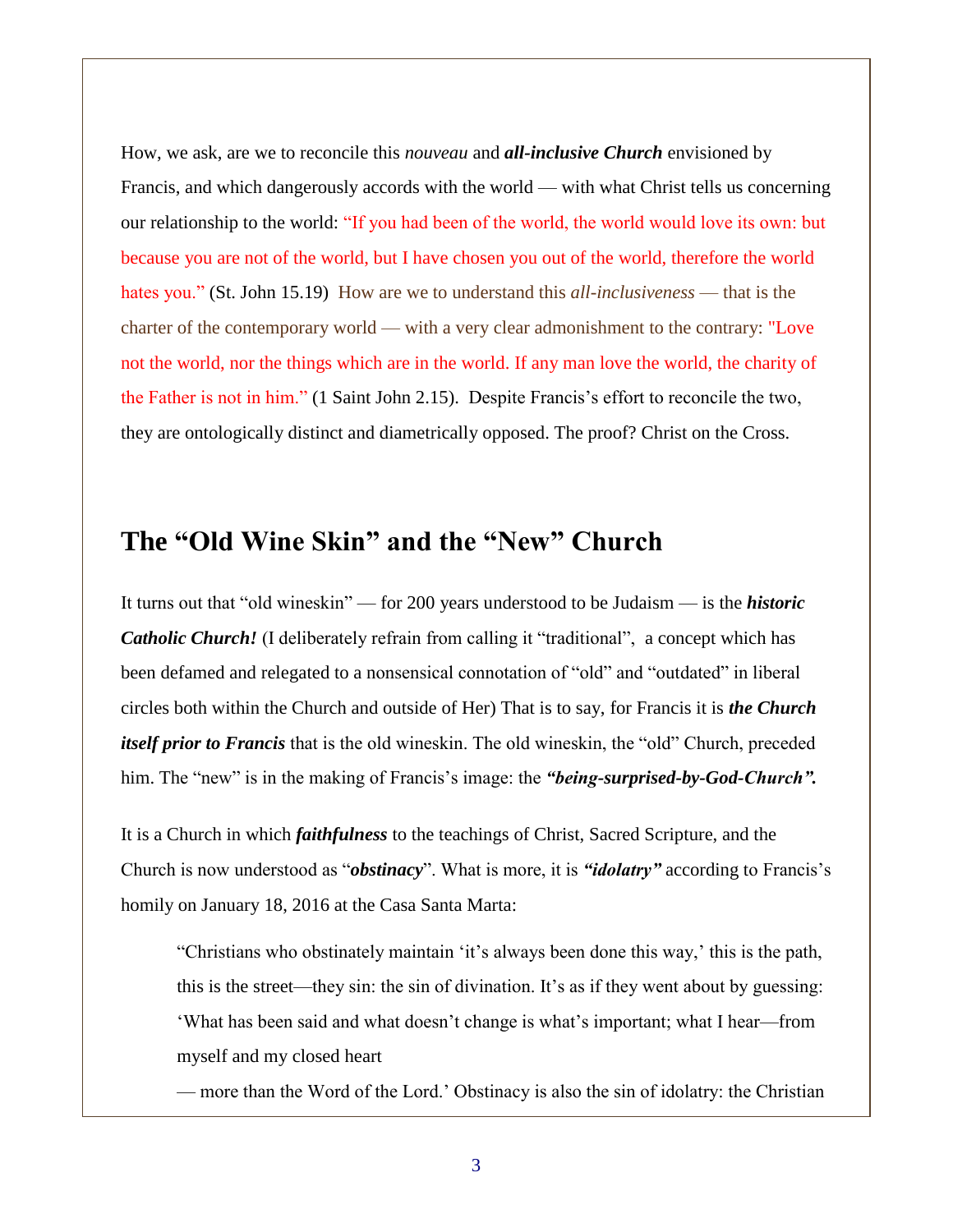How, we ask, are we to reconcile this *nouveau* and *all-inclusive Church* envisioned by Francis, and which dangerously accords with the world — with what Christ tells us concerning our relationship to the world: "If you had been of the world, the world would love its own: but because you are not of the world, but I have chosen you out of the world, therefore the world hates you." (St. John 15.19) How are we to understand this *all-inclusiveness* — that is the charter of the contemporary world — with a very clear admonishment to the contrary: "Love not the world, nor the things which are in the world. If any man love the world, the charity of the Father is not in him." (1 Saint John 2.15). Despite Francis's effort to reconcile the two, they are ontologically distinct and diametrically opposed. The proof? Christ on the Cross.

## **The "Old Wine Skin" and the "New" Church**

It turns out that "old wineskin" — for 200 years understood to be Judaism — is the *historic Catholic Church!* (I deliberately refrain from calling it "traditional", a concept which has been defamed and relegated to a nonsensical connotation of "old" and "outdated" in liberal circles both within the Church and outside of Her) That is to say, for Francis it is *the Church itself prior to Francis* that is the old wineskin. The old wineskin, the "old" Church, preceded him. The "new" is in the making of Francis's image: the *"being-surprised-by-God-Church".*

It is a Church in which *faithfulness* to the teachings of Christ, Sacred Scripture, and the Church is now understood as "*obstinacy*". What is more, it is *"idolatry"* according to Francis's homily on January 18, 2016 at the Casa Santa Marta:

"Christians who obstinately maintain 'it's always been done this way,' this is the path, this is the street—they sin: the sin of divination. It's as if they went about by guessing: 'What has been said and what doesn't change is what's important; what I hear—from myself and my closed heart

— more than the Word of the Lord.' Obstinacy is also the sin of idolatry: the Christian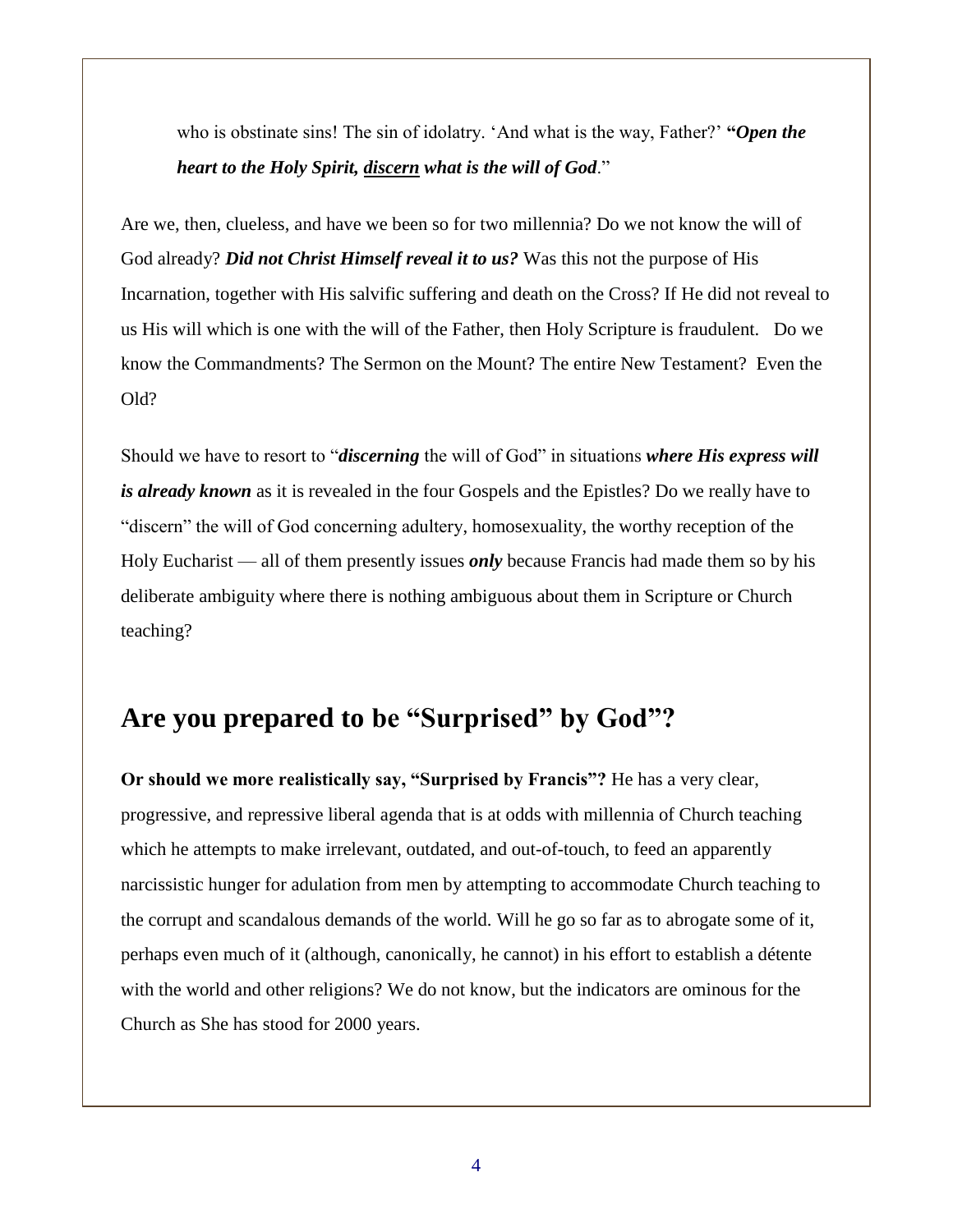who is obstinate sins! The sin of idolatry. 'And what is the way, Father?' **"***Open the heart to the Holy Spirit, discern what is the will of God*."

Are we, then, clueless, and have we been so for two millennia? Do we not know the will of God already? *Did not Christ Himself reveal it to us?* Was this not the purpose of His Incarnation, together with His salvific suffering and death on the Cross? If He did not reveal to us His will which is one with the will of the Father, then Holy Scripture is fraudulent. Do we know the Commandments? The Sermon on the Mount? The entire New Testament? Even the Old?

Should we have to resort to "*discerning* the will of God" in situations *where His express will is already known* as it is revealed in the four Gospels and the Epistles? Do we really have to "discern" the will of God concerning adultery, homosexuality, the worthy reception of the Holy Eucharist — all of them presently issues *only* because Francis had made them so by his deliberate ambiguity where there is nothing ambiguous about them in Scripture or Church teaching?

## **Are you prepared to be "Surprised" by God"?**

**Or should we more realistically say, "Surprised by Francis"?** He has a very clear, progressive, and repressive liberal agenda that is at odds with millennia of Church teaching which he attempts to make irrelevant, outdated, and out-of-touch, to feed an apparently narcissistic hunger for adulation from men by attempting to accommodate Church teaching to the corrupt and scandalous demands of the world. Will he go so far as to abrogate some of it, perhaps even much of it (although, canonically, he cannot) in his effort to establish a détente with the world and other religions? We do not know, but the indicators are ominous for the Church as She has stood for 2000 years.